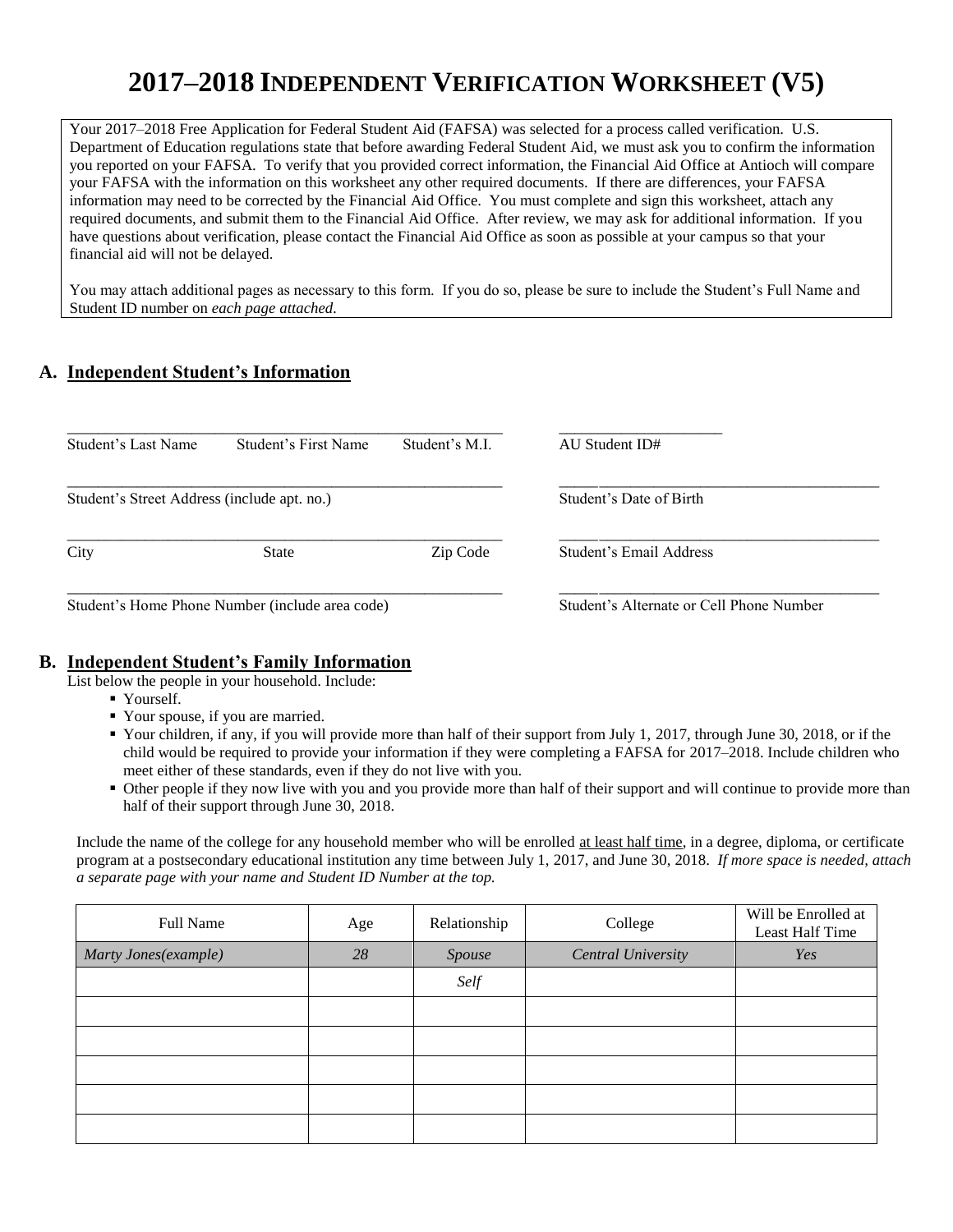# **2017–2018 INDEPENDENT VERIFICATION WORKSHEET (V5)**

Your 2017–2018 Free Application for Federal Student Aid (FAFSA) was selected for a process called verification. U.S. Department of Education regulations state that before awarding Federal Student Aid, we must ask you to confirm the information you reported on your FAFSA. To verify that you provided correct information, the Financial Aid Office at Antioch will compare your FAFSA with the information on this worksheet any other required documents. If there are differences, your FAFSA information may need to be corrected by the Financial Aid Office. You must complete and sign this worksheet, attach any required documents, and submit them to the Financial Aid Office. After review, we may ask for additional information. If you have questions about verification, please contact the Financial Aid Office as soon as possible at your campus so that your financial aid will not be delayed.

You may attach additional pages as necessary to this form. If you do so, please be sure to include the Student's Full Name and Student ID number on *each page attached.*

# **A. Independent Student's Information**

| Student's Last Name                             | Student's First Name | Student's M.I. | AU Student ID#                           |
|-------------------------------------------------|----------------------|----------------|------------------------------------------|
| Student's Street Address (include apt. no.)     |                      |                | Student's Date of Birth                  |
| City                                            | State                | Zip Code       | Student's Email Address                  |
| Student's Home Phone Number (include area code) |                      |                | Student's Alternate or Cell Phone Number |

### **B. Independent Student's Family Information**

List below the people in your household. Include:

- Yourself.
- Your spouse, if you are married.
- Your children, if any, if you will provide more than half of their support from July 1, 2017, through June 30, 2018, or if the child would be required to provide your information if they were completing a FAFSA for 2017–2018. Include children who meet either of these standards, even if they do not live with you.
- Other people if they now live with you and you provide more than half of their support and will continue to provide more than half of their support through June 30, 2018.

Include the name of the college for any household member who will be enrolled at least half time, in a degree, diploma, or certificate program at a postsecondary educational institution any time between July 1, 2017, and June 30, 2018. *If more space is needed, attach a separate page with your name and Student ID Number at the top.*

| Full Name            | Age | Relationship | College                   | Will be Enrolled at<br>Least Half Time |
|----------------------|-----|--------------|---------------------------|----------------------------------------|
| Marty Jones(example) | 28  | Spouse       | <b>Central University</b> | Yes                                    |
|                      |     | Self         |                           |                                        |
|                      |     |              |                           |                                        |
|                      |     |              |                           |                                        |
|                      |     |              |                           |                                        |
|                      |     |              |                           |                                        |
|                      |     |              |                           |                                        |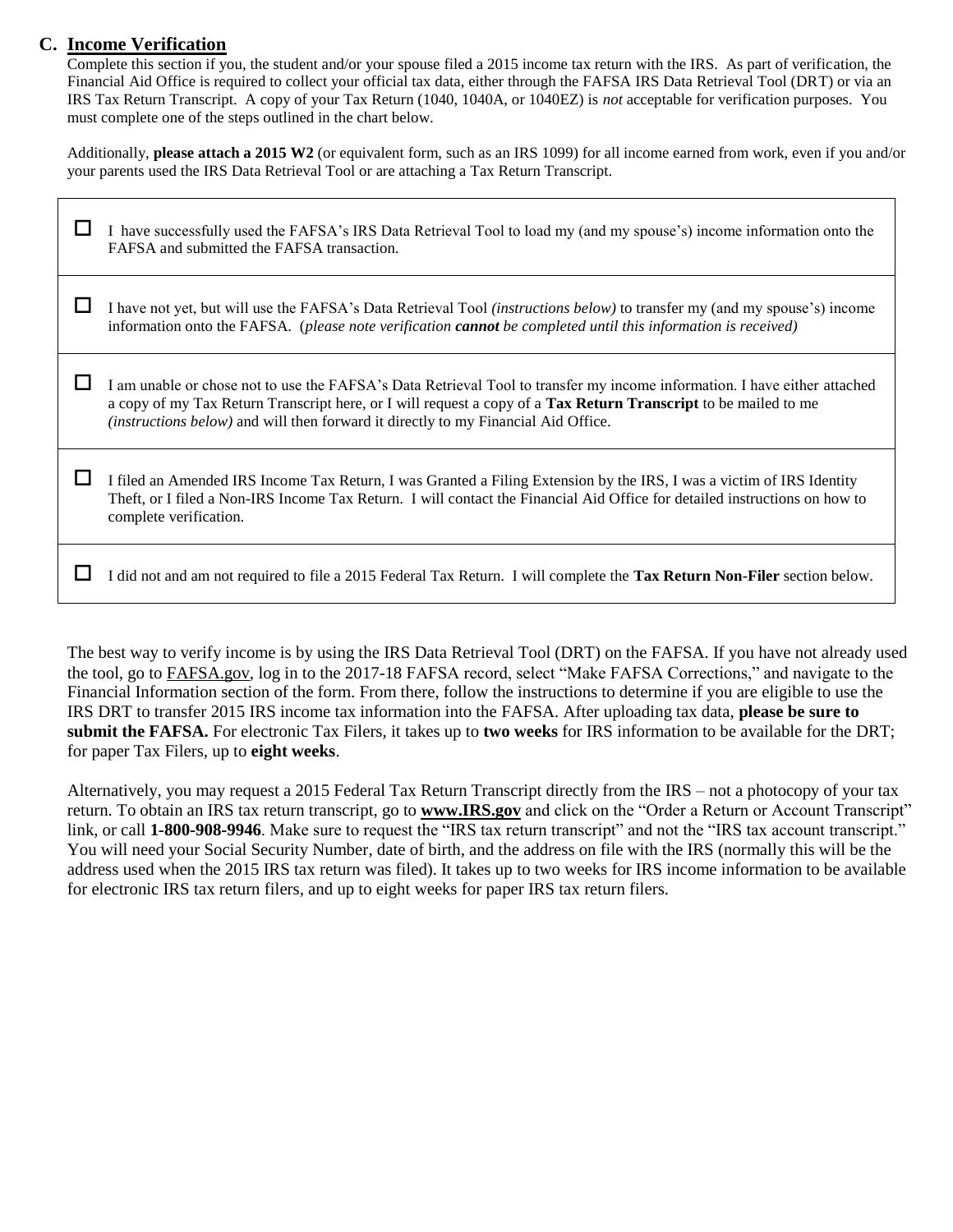# **C. Income Verification**

Complete this section if you, the student and/or your spouse filed a 2015 income tax return with the IRS. As part of verification, the Financial Aid Office is required to collect your official tax data, either through the FAFSA IRS Data Retrieval Tool (DRT) or via an IRS Tax Return Transcript. A copy of your Tax Return (1040, 1040A, or 1040EZ) is *not* acceptable for verification purposes. You must complete one of the steps outlined in the chart below.

Additionally, **please attach a 2015 W2** (or equivalent form, such as an IRS 1099) for all income earned from work, even if you and/or your parents used the IRS Data Retrieval Tool or are attaching a Tax Return Transcript.

| I have successfully used the FAFSA's IRS Data Retrieval Tool to load my (and my spouse's) income information onto the<br>FAFSA and submitted the FAFSA transaction.                                                                                                                                                                       |
|-------------------------------------------------------------------------------------------------------------------------------------------------------------------------------------------------------------------------------------------------------------------------------------------------------------------------------------------|
| I have not yet, but will use the FAFSA's Data Retrieval Tool <i>(instructions below)</i> to transfer my (and my spouse's) income<br>information onto the FAFSA. (please note verification <b>cannot</b> be completed until this information is received)                                                                                  |
| I am unable or chose not to use the FAFSA's Data Retrieval Tool to transfer my income information. I have either attached<br>a copy of my Tax Return Transcript here, or I will request a copy of a Tax Return Transcript to be mailed to me<br><i>(instructions below)</i> and will then forward it directly to my Financial Aid Office. |
| I filed an Amended IRS Income Tax Return, I was Granted a Filing Extension by the IRS, I was a victim of IRS Identity<br>Theft, or I filed a Non-IRS Income Tax Return. I will contact the Financial Aid Office for detailed instructions on how to<br>complete verification.                                                             |
| I did not and am not required to file a 2015 Federal Tax Return. I will complete the Tax Return Non-Filer section below.                                                                                                                                                                                                                  |

The best way to verify income is by using the IRS Data Retrieval Tool (DRT) on the FAFSA. If you have not already used the tool, go to FAFSA.gov, log in to the 2017-18 FAFSA record, select "Make FAFSA Corrections," and navigate to the Financial Information section of the form. From there, follow the instructions to determine if you are eligible to use the IRS DRT to transfer 2015 IRS income tax information into the FAFSA. After uploading tax data, **please be sure to submit the FAFSA.** For electronic Tax Filers, it takes up to **two weeks** for IRS information to be available for the DRT; for paper Tax Filers, up to **eight weeks**.

Alternatively, you may request a 2015 Federal Tax Return Transcript directly from the IRS – not a photocopy of your tax return. To obtain an IRS tax return transcript, go to **www.IRS.gov** and click on the "Order a Return or Account Transcript" link, or call **1-800-908-9946**. Make sure to request the "IRS tax return transcript" and not the "IRS tax account transcript." You will need your Social Security Number, date of birth, and the address on file with the IRS (normally this will be the address used when the 2015 IRS tax return was filed). It takes up to two weeks for IRS income information to be available for electronic IRS tax return filers, and up to eight weeks for paper IRS tax return filers.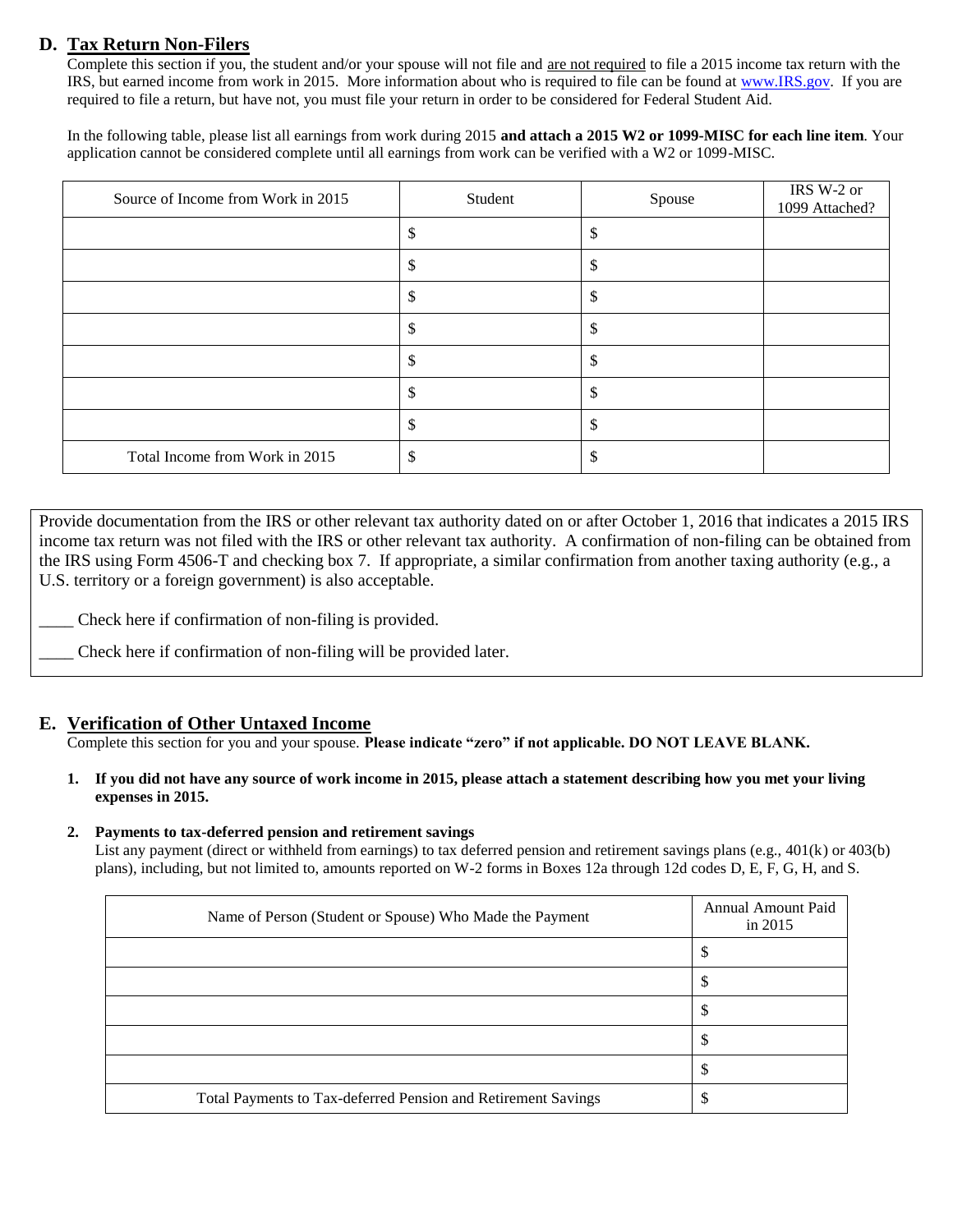## **D. Tax Return Non-Filers**

Complete this section if you, the student and/or your spouse will not file and are not required to file a 2015 income tax return with the IRS, but earned income from work in 2015. More information about who is required to file can be found at [www.IRS.gov.](http://www.irs.gov/) If you are required to file a return, but have not, you must file your return in order to be considered for Federal Student Aid.

In the following table, please list all earnings from work during 2015 **and attach a 2015 W2 or 1099-MISC for each line item**. Your application cannot be considered complete until all earnings from work can be verified with a W2 or 1099-MISC.

| Source of Income from Work in 2015 | Student | Spouse  | IRS W-2 or<br>1099 Attached? |
|------------------------------------|---------|---------|------------------------------|
|                                    | \$      | S       |                              |
|                                    | Ф       | Φ       |                              |
|                                    | D       | \$      |                              |
|                                    | ۰D      | \$      |                              |
|                                    | ۰D      | Ф       |                              |
|                                    | S       | S       |                              |
|                                    | \$      | \$      |                              |
| Total Income from Work in 2015     | \$      | ¢<br>ъD |                              |

Provide documentation from the IRS or other relevant tax authority dated on or after October 1, 2016 that indicates a 2015 IRS income tax return was not filed with the IRS or other relevant tax authority. A confirmation of non-filing can be obtained from the IRS using Form 4506-T and checking box 7. If appropriate, a similar confirmation from another taxing authority (e.g., a U.S. territory or a foreign government) is also acceptable.

Check here if confirmation of non-filing is provided.

Check here if confirmation of non-filing will be provided later.

## **E. Verification of Other Untaxed Income**

Complete this section for you and your spouse. **Please indicate "zero" if not applicable. DO NOT LEAVE BLANK.** 

**1. If you did not have any source of work income in 2015, please attach a statement describing how you met your living expenses in 2015.** 

#### **2. Payments to tax-deferred pension and retirement savings**

List any payment (direct or withheld from earnings) to tax deferred pension and retirement savings plans (e.g., 401(k) or 403(b) plans), including, but not limited to, amounts reported on W-2 forms in Boxes 12a through 12d codes D, E, F, G, H, and S.

| Name of Person (Student or Spouse) Who Made the Payment       | <b>Annual Amount Paid</b><br>in $2015$ |
|---------------------------------------------------------------|----------------------------------------|
|                                                               | Φ                                      |
|                                                               | Φ                                      |
|                                                               | J                                      |
|                                                               |                                        |
|                                                               |                                        |
| Total Payments to Tax-deferred Pension and Retirement Savings |                                        |